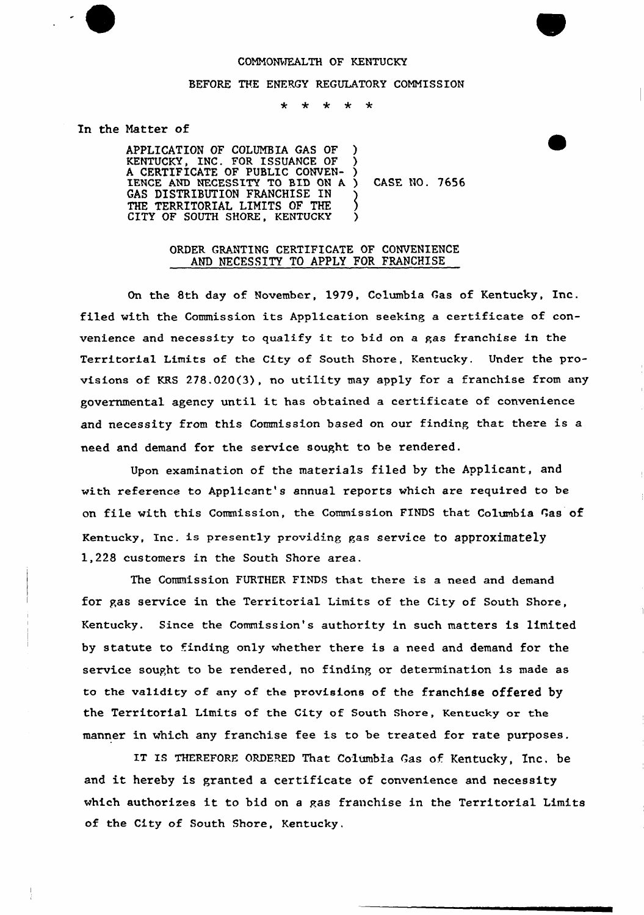## COMMONWEALTH OF KENTUCKY

## BEFORE THE ENERGY REGULATORY CONNISS ION

\* \* \* \* \*

## In the Natter of

APPLICATION OF COLUNBIA GAS OF KENTUCKY, INC. FOR ISSUANCE OF A CERTIFICATE OF PUBLIC CONVEN-IENCE AND NECESSITY TO BID ON A. GAS DISTRIBUTION FRANCHISE IN THE TERRITORIAL LIMITS OF THE CITY OF SOUTH SHORE, KENTUCKY ) ) ) CASE NO. 7656

## ORDER GRANTING CERTIFICATE OF CONVENIENCE AND NECESSITY TO APPLY FOR FRANCHISE

On the 8th day of November, 1979, Columbia Gas of Kentucky, Inc. filed with the Commission its Application seeking a certificate of convenience and necessity to qualify it to bid on <sup>a</sup> gas franchise in the Territorial Limits of the City of South Shore, Kentucky. Under the provisions of KRS 278.020(3), no utility may apply for a franchise from any governmental agency until it has obtained <sup>a</sup> certificate of convenience and necessity from this Commission based on our finding that there is a need and demand for the service sought to be rendered.

Upon examination of the materials filed by the Applicant, and with reference to Applicant's annual reports which are required to be on file with this Commission, the Commission FINDS that Columbia Gas of Kentucky, Inc. is presently providing gas service to approximately 1,228 customers in the South Shore area.

The Commission FURTHER FINDS that there is a need and demand for gas service in the Territorial Limits of the City of South Shore, Kentucky. Since the Commission's authority in such matters is limited by statute to finding only whether there is a need and demand for the service sought to be rendered, no finding or determination is made as to the validity of any of the provisions of the franchise offered by the Territorial Limits of the City of South Shore, Kentucky or the manner in which any franchise fee is to be treated for rate purposes.

IT IS THEREFORE ORDERED That Columbia Gas of. Kentucky, Inc. be and it hereby is granted <sup>a</sup> certificate of convenience and necessity which authorizes it to bid on <sup>a</sup> gas franchise in the Territorial Limits of the City of South Shore, Kentucky.